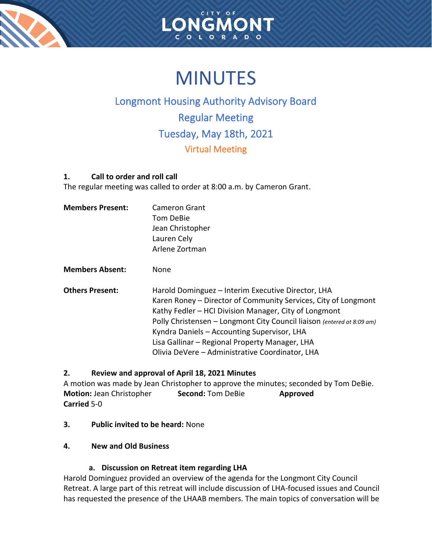



# **MINUTES**

# Longmont Housing Authority Advisory Board Regular Meeting Tuesday, May 18th, 2021 Virtual Meeting

# **1. Call to order and roll call**

The regular meeting was called to order at 8:00 a.m. by Cameron Grant.

| <b>Members Present:</b> | Cameron Grant<br>Tom DeBie<br>Jean Christopher<br>Lauren Cely<br>Arlene Zortman                                                                                                                                                                                                                                                                                                                             |
|-------------------------|-------------------------------------------------------------------------------------------------------------------------------------------------------------------------------------------------------------------------------------------------------------------------------------------------------------------------------------------------------------------------------------------------------------|
| <b>Members Absent:</b>  | None                                                                                                                                                                                                                                                                                                                                                                                                        |
| <b>Others Present:</b>  | Harold Dominguez - Interim Executive Director, LHA<br>Karen Roney – Director of Community Services, City of Longmont<br>Kathy Fedler – HCI Division Manager, City of Longmont<br>Polly Christensen - Longmont City Council liaison (entered at 8:09 am)<br>Kyndra Daniels - Accounting Supervisor, LHA<br>Lisa Gallinar - Regional Property Manager, LHA<br>Olivia DeVere - Administrative Coordinator, LHA |

# **2. Review and approval of April 18, 2021 Minutes**

A motion was made by Jean Christopher to approve the minutes; seconded by Tom DeBie. **Motion: Jean Christopher Second: Tom DeBie Approved Carried** 5-0

- **3. Public invited to be heard:** None
- **4. New and Old Business**

# **a. Discussion on Retreat item regarding LHA**

Harold Dominguez provided an overview of the agenda for the Longmont City Council Retreat. A large part of this retreat will include discussion of LHA-focused issues and Council has requested the presence of the LHAAB members. The main topics of conversation will be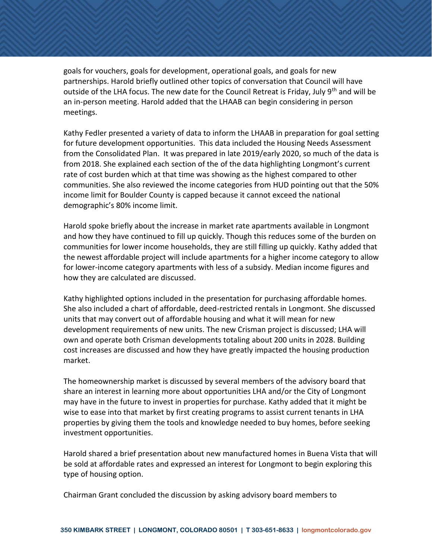goals for vouchers, goals for development, operational goals, and goals for new partnerships. Harold briefly outlined other topics of conversation that Council will have outside of the LHA focus. The new date for the Council Retreat is Friday, July 9<sup>th</sup> and will be an in-person meeting. Harold added that the LHAAB can begin considering in person meetings.

Kathy Fedler presented a variety of data to inform the LHAAB in preparation for goal setting for future development opportunities. This data included the Housing Needs Assessment from the Consolidated Plan. It was prepared in late 2019/early 2020, so much of the data is from 2018. She explained each section of the of the data highlighting Longmont's current rate of cost burden which at that time was showing as the highest compared to other communities. She also reviewed the income categories from HUD pointing out that the 50% income limit for Boulder County is capped because it cannot exceed the national demographic's 80% income limit.

Harold spoke briefly about the increase in market rate apartments available in Longmont and how they have continued to fill up quickly. Though this reduces some of the burden on communities for lower income households, they are still filling up quickly. Kathy added that the newest affordable project will include apartments for a higher income category to allow for lower-income category apartments with less of a subsidy. Median income figures and how they are calculated are discussed.

Kathy highlighted options included in the presentation for purchasing affordable homes. She also included a chart of affordable, deed-restricted rentals in Longmont. She discussed units that may convert out of affordable housing and what it will mean for new development requirements of new units. The new Crisman project is discussed; LHA will own and operate both Crisman developments totaling about 200 units in 2028. Building cost increases are discussed and how they have greatly impacted the housing production market.

The homeownership market is discussed by several members of the advisory board that share an interest in learning more about opportunities LHA and/or the City of Longmont may have in the future to invest in properties for purchase. Kathy added that it might be wise to ease into that market by first creating programs to assist current tenants in LHA properties by giving them the tools and knowledge needed to buy homes, before seeking investment opportunities.

Harold shared a brief presentation about new manufactured homes in Buena Vista that will be sold at affordable rates and expressed an interest for Longmont to begin exploring this type of housing option.

Chairman Grant concluded the discussion by asking advisory board members to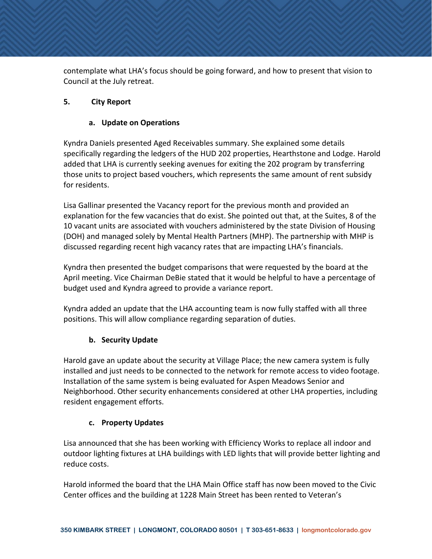contemplate what LHA's focus should be going forward, and how to present that vision to Council at the July retreat.

#### **5. City Report**

#### **a. Update on Operations**

Kyndra Daniels presented Aged Receivables summary. She explained some details specifically regarding the ledgers of the HUD 202 properties, Hearthstone and Lodge. Harold added that LHA is currently seeking avenues for exiting the 202 program by transferring those units to project based vouchers, which represents the same amount of rent subsidy for residents.

Lisa Gallinar presented the Vacancy report for the previous month and provided an explanation for the few vacancies that do exist. She pointed out that, at the Suites, 8 of the 10 vacant units are associated with vouchers administered by the state Division of Housing (DOH) and managed solely by Mental Health Partners (MHP). The partnership with MHP is discussed regarding recent high vacancy rates that are impacting LHA's financials.

Kyndra then presented the budget comparisons that were requested by the board at the April meeting. Vice Chairman DeBie stated that it would be helpful to have a percentage of budget used and Kyndra agreed to provide a variance report.

Kyndra added an update that the LHA accounting team is now fully staffed with all three positions. This will allow compliance regarding separation of duties.

# **b. Security Update**

Harold gave an update about the security at Village Place; the new camera system is fully installed and just needs to be connected to the network for remote access to video footage. Installation of the same system is being evaluated for Aspen Meadows Senior and Neighborhood. Other security enhancements considered at other LHA properties, including resident engagement efforts.

# **c. Property Updates**

Lisa announced that she has been working with Efficiency Works to replace all indoor and outdoor lighting fixtures at LHA buildings with LED lights that will provide better lighting and reduce costs.

Harold informed the board that the LHA Main Office staff has now been moved to the Civic Center offices and the building at 1228 Main Street has been rented to Veteran's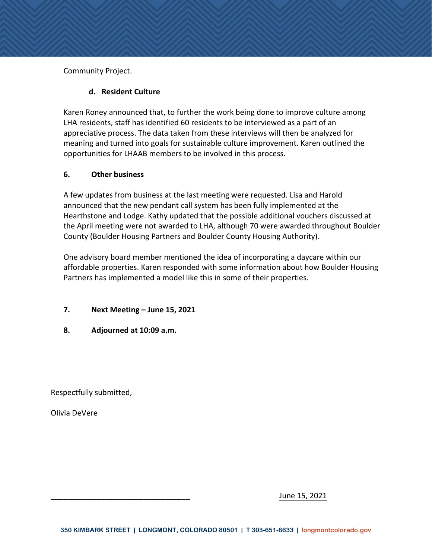Community Project.

#### **d. Resident Culture**

Karen Roney announced that, to further the work being done to improve culture among LHA residents, staff has identified 60 residents to be interviewed as a part of an appreciative process. The data taken from these interviews will then be analyzed for meaning and turned into goals for sustainable culture improvement. Karen outlined the opportunities for LHAAB members to be involved in this process.

#### **6. Other business**

A few updates from business at the last meeting were requested. Lisa and Harold announced that the new pendant call system has been fully implemented at the Hearthstone and Lodge. Kathy updated that the possible additional vouchers discussed at the April meeting were not awarded to LHA, although 70 were awarded throughout Boulder County (Boulder Housing Partners and Boulder County Housing Authority).

One advisory board member mentioned the idea of incorporating a daycare within our affordable properties. Karen responded with some information about how Boulder Housing Partners has implemented a model like this in some of their properties.

#### **7. Next Meeting – June 15, 2021**

**8. Adjourned at 10:09 a.m.**

Respectfully submitted,

Olivia DeVere

\_\_\_\_\_\_\_\_\_\_\_\_\_\_\_\_\_\_\_\_\_\_\_\_\_\_\_\_\_\_\_\_\_ June 15, 2021